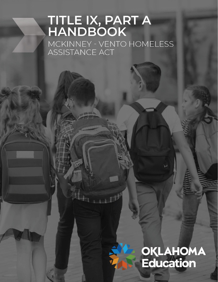# TITLE IX, PART A<br>HANDBOOK MCKINNEY - VENTO HOMELESS

# **OKLAHOMA**<br>Education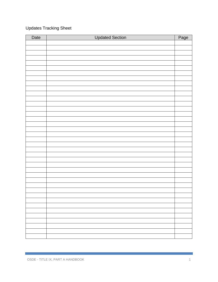# Updates Tracking Sheet

| Date | <b>Updated Section</b> | Page |
|------|------------------------|------|
|      |                        |      |
|      |                        |      |
|      |                        |      |
|      |                        |      |
|      |                        |      |
|      |                        |      |
|      |                        |      |
|      |                        |      |
|      |                        |      |
|      |                        |      |
|      |                        |      |
|      |                        |      |
|      |                        |      |
|      |                        |      |
|      |                        |      |
|      |                        |      |
|      |                        |      |
|      |                        |      |
|      |                        |      |
|      |                        |      |
|      |                        |      |
|      |                        |      |
|      |                        |      |
|      |                        |      |
|      |                        |      |
|      |                        |      |
|      |                        |      |
|      |                        |      |
|      |                        |      |
|      |                        |      |
|      |                        |      |
|      |                        |      |
|      |                        |      |
|      |                        |      |
|      |                        |      |
|      |                        |      |
|      |                        |      |
|      |                        |      |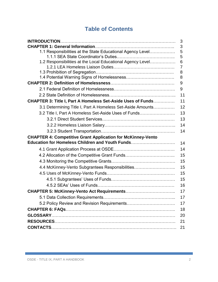# **Table of Contents**

|                                                                    | 3  |
|--------------------------------------------------------------------|----|
|                                                                    | 3  |
| 1.1 Responsibilities at the State Educational Agency Level         | 5  |
|                                                                    | 5  |
| 1.2 Responsibilities at the Local Educational Agency Level         | 6  |
|                                                                    | 7  |
|                                                                    | 8  |
|                                                                    | 8  |
|                                                                    | 9  |
|                                                                    | 9  |
|                                                                    | 11 |
| <b>CHAPTER 3: Title I, Part A Homeless Set-Aside Uses of Funds</b> | 11 |
| 3.1 Determining Title I, Part A Homeless Set-Aside Amounts         | 12 |
| 3.2 Title I, Part A Homeless Set-Aside Uses of Funds               | 13 |
|                                                                    | 13 |
|                                                                    | 14 |
|                                                                    | 14 |
| <b>CHAPTER 4: Competitive Grant Application for McKinney-Vento</b> |    |
| Education for Homeless Children and Youth Funds                    | 14 |
|                                                                    | 14 |
| 4.2 Allocation of the Competitive Grant Funds                      | 15 |
|                                                                    | 15 |
| 4.4 McKinney-Vento Subgrantees Responsibilities                    | 15 |
|                                                                    | 15 |
|                                                                    | 15 |
|                                                                    | 16 |
|                                                                    | 17 |
|                                                                    | 17 |
|                                                                    | 17 |
|                                                                    | 18 |
|                                                                    | 20 |
|                                                                    | 21 |
|                                                                    | 21 |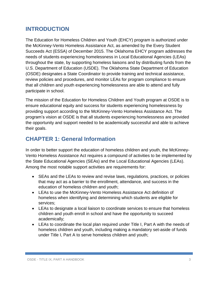# **INTRODUCTION**

The Education for Homeless Children and Youth (EHCY) program is authorized under the McKinney-Vento Homeless Assistance Act, as amended by the Every Student Succeeds Act (ESSA) of December 2015. The Oklahoma EHCY program addresses the needs of students experiencing homelessness in Local Educational Agencies (LEAs) throughout the state, by supporting homeless liaisons and by distributing funds from the U.S. Department of Education (USDE). The Oklahoma State Department of Education (OSDE) designates a State Coordinator to provide training and technical assistance, review policies and procedures, and monitor LEAs for program compliance to ensure that all children and youth experiencing homelessness are able to attend and fully participate in school.

The mission of the Education for Homeless Children and Youth program at OSDE is to ensure educational equity and success for students experiencing homelessness by providing support according to the McKinney-Vento Homeless Assistance Act. The program's vision at OSDE is that all students experiencing homelessness are provided the opportunity and support needed to be academically successful and able to achieve their goals.

# **CHAPTER 1: General Information**

In order to better support the education of homeless children and youth, the McKinney-Vento Homeless Assistance Act requires a compound of activities to be implemented by the State Educational Agencies (SEAs) and the Local Educational Agencies (LEAs). Among the most notable support activities are requirements for:

- SEAs and the LEAs to review and revise laws, regulations, practices, or policies that may act as a barrier to the enrollment, attendance, and success in the education of homeless children and youth;
- LEAs to use the McKinney-Vento Homeless Assistance Act definition of homeless when identifying and determining which students are eligible for services;
- LEAs to designate a local liaison to coordinate services to ensure that homeless children and youth enroll in school and have the opportunity to succeed academically;
- LEAs to coordinate the local plan required under Title I, Part A with the needs of homeless children and youth, including making a mandatory set-aside of funds under Title I, Part A to serve homeless children and youth;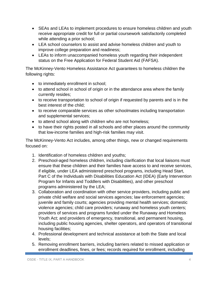- SEAs and LEAs to implement procedures to ensure homeless children and youth receive appropriate credit for full or partial coursework satisfactorily completed while attending a prior school;
- LEA school counselors to assist and advise homeless children and youth to improve college preparation and readiness;
- LEAs to inform unaccompanied homeless youth regarding their independent status on the Free Application for Federal Student Aid (FAFSA).

The McKinney-Vento Homeless Assistance Act guarantees to homeless children the following rights:

- to immediately enrollment in school;
- to attend school in school of origin or in the attendance area where the family currently resides;
- to receive transportation to school of origin if requested by parents and is in the best interest of the child;
- to receive comparable services as other schoolmates including transportation and supplemental services;
- to attend school along with children who are not homeless;
- to have their rights posted in all schools and other places around the community that low-income families and high-risk families may visit.

The McKinney-Vento Act includes, among other things, new or changed requirements focused on:

- 1. Identification of homeless children and youths;
- 2. Preschool-aged homeless children, including clarification that local liaisons must ensure that these children and their families have access to and receive services, if eligible, under LEA administered preschool programs, including Head Start, Part C of the Individuals with Disabilities Education Act (IDEA) (Early Intervention Program for Infants and Toddlers with Disabilities), and other preschool programs administered by the LEA;
- 3. Collaboration and coordination with other service providers, including public and private child welfare and social services agencies; law enforcement agencies; juvenile and family courts; agencies providing mental health services; domestic violence agencies; child care providers; runaway and homeless youth centers; providers of services and programs funded under the Runaway and Homeless Youth Act; and providers of emergency, transitional, and permanent housing, including public housing agencies, shelter operators, and operators of transitional housing facilities;
- 4. Professional development and technical assistance at both the State and local levels;
- 5. Removing enrollment barriers, including barriers related to missed application or enrollment deadlines, fines, or fees; records required for enrollment, including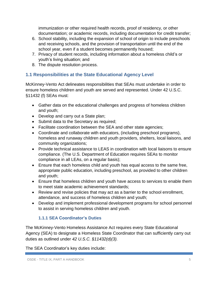immunization or other required health records, proof of residency, or other documentation; or academic records, including documentation for credit transfer;

- 6. School stability, including the expansion of school of origin to include preschools and receiving schools, and the provision of transportation until the end of the school year, even if a student becomes permanently housed;
- 7. Privacy of student records, including information about a homeless child's or youth's living situation; and
- 8. The dispute resolution process.

#### **1.1 Responsibilities at the State Educational Agency Level**

McKinney-Vento Act delineates responsibilities that SEAs must undertake in order to ensure homeless children and youth are served and represented. Under 42 U.S.C. §11432 (f) SEAs must:

- Gather data on the educational challenges and progress of homeless children and youth;
- Develop and carry out a State plan;
- Submit data to the Secretary as required;
- Facilitate coordination between the SEA and other state agencies;
- Coordinate and collaborate with educators, (including preschool programs), homeless and runaway children and youth providers, shelters, local liaisons, and community organizations;
- Provide technical assistance to LEAS in coordination with local liaisons to ensure compliance. (The U.S. Department of Education requires SEAs to monitor compliance in all LEAs, on a regular basis);
- Ensure that each homeless child and youth has equal access to the same free, appropriate public education, including preschool, as provided to other children and youth;
- Ensure that homeless children and youth have access to services to enable them to meet state academic achievement standards;
- Review and revise policies that may act as a barrier to the school enrollment, attendance, and success of homeless children and youth;
- Develop and implement professional development programs for school personnel to assist in serving homeless children and youth.

#### **1.1.1 SEA Coordinator's Duties**

The McKinney-Vento Homeless Assistance Act requires every State Educational Agency (SEA) to designate a Homeless State Coordinator that can sufficiently carry out duties as outlined under *42 U.S.C. §11432(d)(3).*

The SEA Coordinator's key duties include: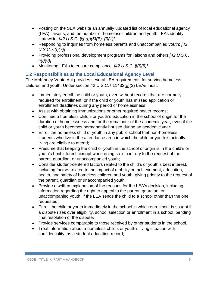- Posting on the SEA website an annually updated list of local educational agency (LEA) liaisons, and the number of homeless children and youth LEAs identify statewide; *[42 U.S.C. §§ (g)(6)(B); (f)(1)]*
- Responding to inquiries from homeless parents and unaccompanied youth; *[42 U.S.C. §(f)(7)]*
- Providing professional development programs for liaisons and others;*[42 U.S.C. §(f)(6)]*
- Monitoring LEAs to ensure compliance. *[42 U.S.C. §(f)(5)]*

#### **1.2 Responsibilities at the Local Educational Agency Level**

The McKinney-Vento Act provides several LEA requirements for serving homeless children and youth. Under section 42 U.S.C. §11432(g)(3) LEAs must:

- Immediately enroll the child or youth, even without records that are normally required for enrollment, or if the child or youth has missed application or enrollment deadlines during any period of homelessness;
- Assist with obtaining immunizations or other required health records;
- Continue a homeless child's or youth's education in the school of origin for the duration of homelessness and for the remainder of the academic year, even if the child or youth becomes permanently housed during an academic year;
- Enroll the homeless child or youth in any public school that non-homeless students who live in the attendance area in which the child or youth is actually living are eligible to attend;
- Presume that keeping the child or youth in the school of origin is in the child's or youth's best interest, except when doing so is contrary to the request of the parent, guardian, or unaccompanied youth;
- Consider student-centered factors related to the child's or youth's best interest, including factors related to the impact of mobility on achievement, education, health, and safety of homeless children and youth, giving priority to the request of the parent, guardian or unaccompanied youth;
- Provide a written explanation of the reasons for the LEA's decision, including information regarding the right to appeal to the parent, guardian, or unaccompanied youth, if the LEA sends the child to a school other than the one requested;
- Enroll the child or youth immediately in the school in which enrollment is sought if a dispute rises over eligibility, school selection or enrollment in a school, pending final resolution of the dispute;
- Provide services comparable to those received by other students in the school.
- Treat information about a homeless child's or youth's living situation with confidentiality, as a student education record;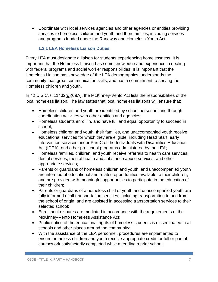Coordinate with local services agencies and other agencies or entities providing services to homeless children and youth and their families, including services and programs funded under the Runaway and Homeless Youth Act.

#### **1.2.1 LEA Homeless Liaison Duties**

Every LEA must designate a liaison for students experiencing homelessness. It is important that the Homeless Liaison has some knowledge and experience in dealing with federal programs and social worker responsibilities. It is important that the Homeless Liaison has knowledge of the LEA demographics, understands the community, has great communication skills, and has a commitment to serving the Homeless children and youth.

In 42 U.S.C. § 11432(g)(6)(A), the McKinney-Vento Act lists the responsibilities of the local homeless liaison. The law states that local homeless liaisons will ensure that:

- Homeless children and youth are identified by school personnel and through coordination activities with other entities and agencies;
- Homeless students enroll in, and have full and equal opportunity to succeed in school;
- Homeless children and youth, their families, and unaccompanied youth receive educational services for which they are eligible, including Head Start, early intervention services under Part C of the Individuals with Disabilities Education Act (IDEA), and other preschool programs administered by the LEA;
- Homeless families, children, and youth receive referrals to health care services, dental services, mental health and substance abuse services, and other appropriate services;
- Parents or guardians of homeless children and youth, and unaccompanied youth are informed of educational and related opportunities available to their children, and are provided with meaningful opportunities to participate in the education of their children;
- Parents or guardians of a homeless child or youth and unaccompanied youth are fully informed of all transportation services, including transportation to and from the school of origin, and are assisted in accessing transportation services to their selected school;
- Enrollment disputes are mediated in accordance with the requirements of the McKinney-Vento Homeless Assistance Act;
- Public notice of the educational rights of homeless students is disseminated in all schools and other places around the community;
- With the assistance of the LEA personnel, procedures are implemented to ensure homeless children and youth receive appropriate credit for full or partial coursework satisfactorily completed while attending a prior school;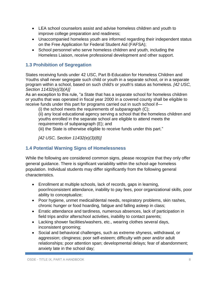- LEA school counselors assist and advise homeless children and youth to improve college preparation and readiness;
- Unaccompanied homeless youth are informed regarding their independent status on the Free Application for Federal Student Aid (FAFSA);
- School personnel who serve homeless children and youth, including the Homeless Liaison, receive professional development and other support.

#### **1.3 Prohibition of Segregation**

States receiving funds under 42 USC, Part B-Education for Homeless Children and Youths shall never segregate such child or youth in a separate school, or in a separate program within a school, based on such child's or youth's status as homeless. *[42 USC, Section 11432(e)(3)(A)]*

As an exception to this rule, "a State that has a separate school for homeless children or youths that was operated in fiscal year 2000 in a covered county shall be eligible to receive funds under this part for programs carried out in such school if—

(i) the school meets the requirements of subparagraph (C);

(ii) any local educational agency serving a school that the homeless children and youths enrolled in the separate school are eligible to attend meets the requirements of subparagraph (E); and

(iii) the State is otherwise eligible to receive funds under this part."

*[42 USC, Section 11432(e)(3)(B)]*

#### **1.4 Potential Warning Signs of Homelessness**

While the following are considered common signs, please recognize that they only offer general guidance. There is significant variability within the school-age homeless population. Individual students may differ significantly from the following general characteristics.

- Enrollment at multiple schools, lack of records, gaps in learning, poor/inconsistent attendance, inability to pay fees, poor organizational skills, poor ability to conceptualize;
- Poor hygiene, unmet medical/dental needs, respiratory problems, skin rashes, chronic hunger or food hoarding, fatigue and falling asleep in class;
- Erratic attendance and tardiness, numerous absences, lack of participation in field trips and/or afterschool activities, inability to contact parents;
- Lacking shower facilities/washers, etc., wearing clothes several days, inconsistent grooming;
- Social and behavioral challenges, such as extreme shyness, withdrawal, or aggression; clinginess; poor self-esteem; difficulty with peer and/or adult relationships; poor attention span; developmental delays; fear of abandonment; anxiety late in the school day;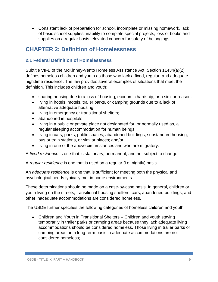Consistent lack of preparation for school, incomplete or missing homework, lack of basic school supplies; inability to complete special projects, loss of books and supplies on a regular basis, elevated concern for safety of belongings.

# **CHAPTER 2: Definition of Homelessness**

#### **2.1 Federal Definition of Homelessness**

Subtitle VII-B of the McKinney-Vento Homeless Assistance Act, Section 11434(a)(2) defines homeless children and youth as those who lack a fixed, regular, and adequate nighttime residence. The law provides several examples of situations that meet the definition. This includes children and youth:

- sharing housing due to a loss of housing, economic hardship, or a similar reason.
- living in hotels, motels, trailer parks, or camping grounds due to a lack of alternative adequate housing;
- living in emergency or transitional shelters;
- abandoned in hospitals;
- living in a public or private place not designated for, or normally used as, a regular sleeping accommodation for human beings;
- living in cars, parks, public spaces, abandoned buildings, substandard housing, bus or train stations, or similar places; and/or
- living in one of the above circumstances and who are migratory.

A *fixed residence* is one that is stationary, permanent, and not subject to change.

A *regular residence* is one that is used on a regular (i.e. nightly) basis.

An *adequate residenc*e is one that is sufficient for meeting both the physical and psychological needs typically met in home environments.

These determinations should be made on a case-by-case basis. In general, children or youth living on the streets, transitional housing shelters, cars, abandoned buildings, and other inadequate accommodations are considered homeless.

The USDE further specifies the following categories of homeless children and youth:

• Children and Youth in Transitional Shelters – Children and youth staying temporarily in trailer parks or camping areas because they lack adequate living accommodations should be considered homeless. Those living in trailer parks or camping areas on a long-term basis in adequate accommodations are not considered homeless;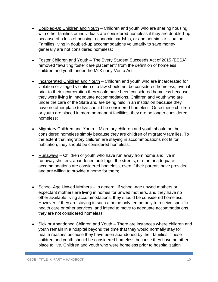- Doubled-Up Children and Youth Children and youth who are sharing housing with other families or individuals are considered homeless if they are doubled-up because of a loss of housing, economic hardship, or another similar situation. Families living in doubled-up accommodations voluntarily to save money generally are not considered homeless;
- Foster Children and Youth The Every Student Succeeds Act of 2015 (ESSA) removed "awaiting foster care placement" from the definition of homeless children and youth under the McKinney-Vento Act;
- Incarcerated Children and Youth Children and youth who are incarcerated for violation or alleged violation of a law should not be considered homeless, even if prior to their incarceration they would have been considered homeless because they were living in inadequate accommodations. Children and youth who are under the care of the State and are being held in an institution because they have no other place to live should be considered homeless. Once these children or youth are placed in more permanent facilities, they are no longer considered homeless;
- Migratory Children and Youth Migratory children and youth should not be considered homeless simply because they are children of migratory families. To the extent that migratory children are staying in accommodations not fit for habitation, they should be considered homeless;
- Runaways Children or youth who have run away from home and live in runaway shelters, abandoned buildings, the streets, or other inadequate accommodations are considered homeless, even if their parents have provided and are willing to provide a home for them;
- School-Age Unwed Mothers In general, if school-age unwed mothers or expectant mothers are living in homes for unwed mothers, and they have no other available living accommodations, they should be considered homeless. However, if they are staying in such a home only temporarily to receive specific health care or other services, and intend to move to adequate accommodations, they are not considered homeless;
- Sick or Abandoned Children and Youth There are instances where children and youth remain in a hospital beyond the time that they would normally stay for health reasons because they have been abandoned by their families. These children and youth should be considered homeless because they have no other place to live. Children and youth who were homeless prior to hospitalization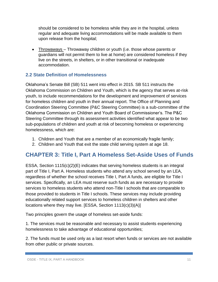should be considered to be homeless while they are in the hospital, unless regular and adequate living accommodations will be made available to them upon release from the hospital;

 Throwaways – Throwaway children or youth (i.e. those whose parents or guardians will not permit them to live at home) are considered homeless if they live on the streets, in shelters, or in other transitional or inadequate accommodation.

#### **2.2 State Definition of Homelessness**

Oklahoma's Senate Bill (SB) 511 went into effect in 2015. SB 511 instructs the Oklahoma Commission on Children and Youth, which is the agency that serves at-risk youth, to include recommendations for the development and improvement of services for homeless children and youth in their annual report. The Office of Planning and Coordination Steering Committee (P&C Steering Committee) is a sub-committee of the Oklahoma Commission on Children and Youth Board of Commissioner's. The P&C Steering Committee through its assessment activities identified what appear to be two sub-populations of children and youth at risk of becoming homeless or experiencing homelessness, which are:

- 1. Children and Youth that are a member of an economically fragile family;
- 2. Children and Youth that exit the state child serving system at age 18.

# **CHAPTER 3: Title I, Part A Homeless Set-Aside Uses of Funds**

ESSA, Section 1115(c)(2)(E) indicates that serving homeless students is an integral part of Title I, Part A. Homeless students who attend any school served by an LEA, regardless of whether the school receives Title I, Part A funds, are eligible for Title I services. Specifically, an LEA must reserve such funds as are necessary to provide services to homeless students who attend non-Title I schools that are comparable to those provided to students in Title I schools. These services may include providing educationally related support services to homeless children in shelters and other locations where they may live. [ESSA, Section 1113(c)(3)(A)]

Two principles govern the usage of homeless set-aside funds:

1. The services must be reasonable and necessary to assist students experiencing homelessness to take advantage of educational opportunities;

2. The funds must be used only as a last resort when funds or services are not available from other public or private sources.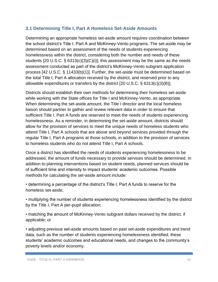#### **3.1 Determining Title I, Part A Homeless Set-Aside Amounts**

Determining an appropriate homeless set-aside amount requires coordination between the school district's Title I, Part A and McKinney-Vento programs. The set-aside may be determined based on an assessment of the needs of students experiencing homelessness within the district, considering both the number and needs of these students [20 U.S.C. § 6313(c)(3)(C)(i)]; this assessment may be the same as the needs assessment conducted as part of the district's McKinney-Vento subgrant application process [42 U.S.C. § 11433(b)(1)]. Further, the set-aside must be determined based on the total Title I, Part A allocation received by the district, and reserved prior to any allowable expenditures or transfers by the district [20 U.S.C. § 6313(c)(3)(B)].

Districts should establish their own methods for determining their homeless set-aside while working with the State offices for Title I and McKinney-Vento, as appropriate. When determining the set-aside amount, the Title I director and the local homeless liaison should partner to gather and review relevant data in order to ensure that sufficient Title I, Part A funds are reserved to meet the needs of students experiencing homelessness. As a reminder, in determining the set-aside amount, districts should allow for the provision of services to meet the unique needs of homeless students who attend Title I, Part A schools that are above and beyond services provided through the regular Title I, Part A programs at those schools, in addition to the provision of services to homeless students who do not attend Title I, Part A schools.

Once a district has identified the needs of students experiencing homelessness to be addressed, the amount of funds necessary to provide services should be determined. In addition to planning interventions based on student needs, planned services should be of sufficient time and intensity to impact students' academic outcomes. Possible methods for calculating the set-aside amount include:

• determining a percentage of the district's Title I, Part A funds to reserve for the homeless set-aside;

• multiplying the number of students experiencing homelessness identified by the district by the Title I, Part A per-pupil allocation;

• matching the amount of McKinney-Vento subgrant dollars received by the district, if applicable; or

• adjusting previous set-aside amounts based on past set-aside expenditures and trend data, such as the number of students experiencing homelessness identified, these students' academic outcomes and educational needs, and changes to the community's poverty levels and/or economy.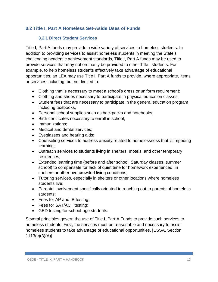#### **3.2 Title I, Part A Homeless Set-Aside Uses of Funds**

#### **3.2.1 Direct Student Services**

Title I, Part A funds may provide a wide variety of services to homeless students. In addition to providing services to assist homeless students in meeting the State's challenging academic achievement standards, Title I, Part A funds may be used to provide services that may not ordinarily be provided to other Title I students. For example, to help homeless students effectively take advantage of educational opportunities, an LEA may use Title I, Part A funds to provide, where appropriate, items or services including, but not limited to:

- Clothing that is necessary to meet a school's dress or uniform requirement;
- Clothing and shoes necessary to participate in physical education classes;
- Student fees that are necessary to participate in the general education program, including textbooks;
- Personal school supplies such as backpacks and notebooks;
- Birth certificates necessary to enroll in school;
- Immunizations:
- Medical and dental services;
- Eyeglasses and hearing aids;
- Counseling services to address anxiety related to homelessness that is impeding learning;
- Outreach services to students living in shelters, motels, and other temporary residences;
- Extended learning time (before and after school, Saturday classes, summer school) to compensate for lack of quiet time for homework experienced in shelters or other overcrowded living conditions;
- Tutoring services, especially in shelters or other locations where homeless students live;
- Parental involvement specifically oriented to reaching out to parents of homeless students;
- Fees for AP and IB testing;
- Fees for SAT/ACT testing;
- GED testing for school-age students.

Several principles govern the use of Title I, Part A Funds to provide such services to homeless students. First, the services must be reasonable and necessary to assist homeless students to take advantage of educational opportunities. [ESSA, Section 1113(c)(3)(A)]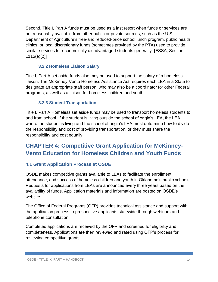Second, Title I, Part A funds must be used as a last resort when funds or services are not reasonably available from other public or private sources, such as the U.S. Department of Agriculture's free-and reduced-price school lunch program, public health clinics, or local discretionary funds (sometimes provided by the PTA) used to provide similar services for economically disadvantaged students generally. [ESSA, Section 1115(e)(2)]

#### **3.2.2 Homeless Liaison Salary**

Title I, Part A set aside funds also may be used to support the salary of a homeless liaison. The McKinney-Vento Homeless Assistance Act requires each LEA in a State to designate an appropriate staff person, who may also be a coordinator for other Federal programs, as well as a liaison for homeless children and youth.

#### **3.2.3 Student Transportation**

Title I, Part A Homeless set aside funds may be used to transport homeless students to and from school. If the student is living outside the school of origin's LEA, the LEA where the student is living and the school of origin's LEA must determine how to divide the responsibility and cost of providing transportation, or they must share the responsibility and cost equally.

# **CHAPTER 4: Competitive Grant Application for McKinney-Vento Education for Homeless Children and Youth Funds**

#### **4.1 Grant Application Process at OSDE**

OSDE makes competitive grants available to LEAs to facilitate the enrollment, attendance, and success of homeless children and youth in Oklahoma's public schools. Requests for applications from LEAs are announced every three years based on the availability of funds. Application materials and information are posted on OSDE's website.

The Office of Federal Programs (OFP) provides technical assistance and support with the application process to prospective applicants statewide through webinars and telephone consultation.

Completed applications are received by the OFP and screened for eligibility and completeness. Applications are then reviewed and rated using OFP's process for reviewing competitive grants.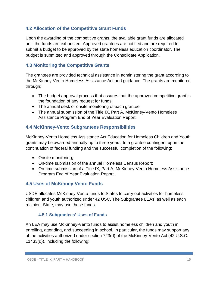#### **4.2 Allocation of the Competitive Grant Funds**

Upon the awarding of the competitive grants, the available grant funds are allocated until the funds are exhausted. Approved grantees are notified and are required to submit a budget to be approved by the state homeless education coordinator. The budget is submitted and approved through the Consolidate Application.

#### **4.3 Monitoring the Competitive Grants**

The grantees are provided technical assistance in administering the grant according to the McKinney-Vento Homeless Assistance Act and guidance. The grants are monitored through:

- The budget approval process that assures that the approved competitive grant is the foundation of any request for funds;
- The annual desk or onsite monitoring of each grantee;
- The annual submission of the Title IX, Part A, McKinney-Vento Homeless Assistance Program End of Year Evaluation Report.

#### **4.4 McKinney-Vento Subgrantees Responsibilities**

McKinney-Vento Homeless Assistance Act Education for Homeless Children and Youth grants may be awarded annually up to three years, to a grantee contingent upon the continuation of federal funding and the successful completion of the following:

- Onsite monitoring;
- On-time submission of the annual Homeless Census Report;
- On-time submission of a Title IX, Part A, McKinney-Vento Homeless Assistance Program End of Year Evaluation Report.

#### **4.5 Uses of McKinney-Vento Funds**

USDE allocates McKinney-Vento funds to States to carry out activities for homeless children and youth authorized under 42 USC. The Subgrantee LEAs, as well as each recipient State, may use these funds.

#### **4.5.1 Subgrantees' Uses of Funds**

An LEA may use McKinney-Vento funds to assist homeless children and youth in enrolling, attending, and succeeding in school. In particular, the funds may support any of the activities authorized under section 723(d) of the McKinney-Vento Act (42 U.S.C. 11433(d)), including the following: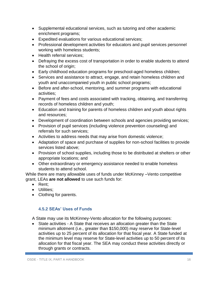- Supplemental educational services, such as tutoring and other academic enrichment programs;
- Expedited evaluations for various educational services;
- Professional development activities for educators and pupil services personnel working with homeless students;
- Health referral services:
- Defraying the excess cost of transportation in order to enable students to attend the school of origin;
- Early childhood education programs for preschool-aged homeless children;
- Services and assistance to attract, engage, and retain homeless children and youth and unaccompanied youth in public school programs;
- Before and after-school, mentoring, and summer programs with educational activities;
- Payment of fees and costs associated with tracking, obtaining, and transferring records of homeless children and youth;
- Education and training for parents of homeless children and youth about rights and resources;
- Development of coordination between schools and agencies providing services;
- Provision of pupil services (including violence prevention counseling) and referrals for such services;
- Activities to address needs that may arise from domestic violence;
- Adaptation of space and purchase of supplies for non-school facilities to provide services listed above;
- Provision of school supplies, including those to be distributed at shelters or other appropriate locations; and
- Other extraordinary or emergency assistance needed to enable homeless students to attend school.

While there are many allowable uses of funds under McKinney –Vento competitive grant, LEAs **are not allowed** to use such funds for:

- Rent:
- Utilities:
- Clothing for parents.

#### **4.5.2 SEAs' Uses of Funds**

A State may use its McKinney-Vento allocation for the following purposes:

 State activities - A State that receives an allocation greater than the State minimum allotment (i.e., greater than \$150,000) may reserve for State-level activities up to 25 percent of its allocation for that fiscal year. A State funded at the minimum level may reserve for State-level activities up to 50 percent of its allocation for that fiscal year. The SEA may conduct these activities directly or through grants or contracts.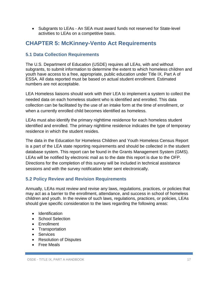Subgrants to LEAs - An SEA must award funds not reserved for State-level activities to LEAs on a competitive basis.

# **CHAPTER 5: McKinney-Vento Act Requirements**

#### **5.1 Data Collection Requirements**

The U.S. Department of Education (USDE) requires all LEAs, with and without subgrants, to submit information to determine the extent to which homeless children and youth have access to a free, appropriate, public education under Title IX, Part A of ESSA. All data reported must be based on actual student enrollment. Estimated numbers are not acceptable.

LEA Homeless liaisons should work with their LEA to implement a system to collect the needed data on each homeless student who is identified and enrolled. This data collection can be facilitated by the use of an intake form at the time of enrollment, or when a currently enrolled child becomes identified as homeless.

LEAs must also identify the primary nighttime residence for each homeless student identified and enrolled. The primary nighttime residence indicates the type of temporary residence in which the student resides.

The data in the Education for Homeless Children and Youth Homeless Census Report is a part of the LEA state reporting requirements and should be collected in the student database system. This report can be found in the Grants Management System (GMS). LEAs will be notified by electronic mail as to the date this report is due to the OFP. Directions for the completion of this survey will be included in technical assistance sessions and with the survey notification letter sent electronically.

#### **5.2 Policy Review and Revision Requirements**

Annually, LEAs must review and revise any laws, regulations, practices, or policies that may act as a barrier to the enrollment, attendance, and success in school of homeless children and youth. In the review of such laws, regulations, practices, or policies, LEAs should give specific consideration to the laws regarding the following areas:

- Identification
- School Selection
- Enrollment
- Transportation
- Services
- Resolution of Disputes
- Free Meals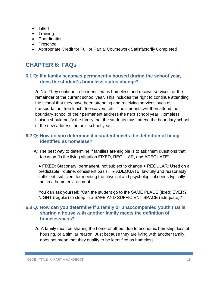- Title I
- Training
- Coordination
- Preschool
- Appropriate Credit for Full or Partial Coursework Satisfactorily Completed

# **CHAPTER 6: FAQs**

#### **6.1 Q: If a family becomes permanently housed during the school year, does the student's homeless status change?**

**A**: No. They continue to be identified as homeless and receive services for the remainder of the current school year. This includes the right to continue attending the school that they have been attending and receiving services such as transportation, free lunch, fee waivers, etc. The students will then attend the boundary school of their permanent address the next school year. Homeless Liaison should notify the family that the students must attend the boundary school of the new address the next school year.

#### **6.2 Q: How do you determine if a student meets the definition of being identified as homeless?**

**A**: The best way to determine if families are eligible is to ask them questions that focus on "is the living situation FIXED, REGULAR, and ADEQUATE".

● FIXED: Stationary, permanent, not subject to change ● REGULAR: Used on a predictable, routine, consistent basis. ● ADEQUATE: lawfully and reasonably sufficient, sufficient for meeting the physical and psychological needs typically met in a home environment.

You can ask yourself: "Can the student go to the SAME PLACE (fixed) EVERY NIGHT (regular) to sleep in a SAFE AND SUFFICIENT SPACE (adequate)?

#### **6.3 Q: How can you determine if a family or unaccompanied youth that is sharing a house with another family meets the definition of homelessness?**

**A:** A family must be sharing the home of others due to economic hardship, loss of housing, or a similar reason. Just because they are living with another family, does not mean that they qualify to be identified as homeless.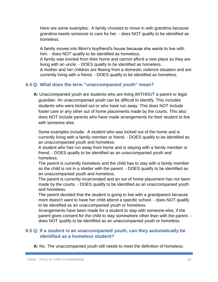Here are some examples: A family chooses to move in with grandma because grandma needs someone to care for her. - does NOT qualify to be identified as homeless.

A family moves into Mom's boyfriend's house because she wants to live with him. - does NOT qualify to be identified as homeless.

A family was evicted from their home and cannot afford a new place so they are living with an uncle. - DOES qualify to be identified as homeless.

A mother and her children are fleeing from a domestic violence situation and are currently living with a friend. - DOES qualify to be identified as homeless.

#### **6.4 Q: What does the term "unaccompanied youth" mean?**

**A:** Unaccompanied youth are students who are living WITHOUT a parent or legal guardian. An unaccompanied youth can be difficult to identify. This includes students who were kicked out or who have run away. This does NOT include foster care or any other out of home placements made by the courts. This also does NOT include parents who have made arrangements for their student to live with someone else.

Some examples include: A student who was kicked out of the home and is currently living with a family member or friend. - DOES qualify to be identified as an unaccompanied youth and homeless.

A student who has run away from home and is staying with a family member or friend. - DOES qualify to be identified as an unaccompanied youth and homeless.

The parent is currently homeless and the child has to stay with a family member so the child is not in a shelter with the parent. - DOES qualify to be identified as an unaccompanied youth and homeless.

The parent is currently incarcerated and an out of home placement has not been made by the courts. - DOES qualify to be identified as an unaccompanied youth and homeless.

The parent decided that the student is going to live with a grandparent because mom doesn't want to have her child attend a specific school. - does NOT qualify to be identified as an unaccompanied youth or homeless.

Arrangements have been made for a student to stay with someone else, if the parent gives consent for the child to stay somewhere other than with the parent. does NOT qualify to be identified as an unaccompanied youth or homeless.

#### **6.5 Q: If a student is an unaccompanied youth, can they automatically be identified as a homeless student?**

**A:** No. The unaccompanied youth still needs to meet the definition of homeless.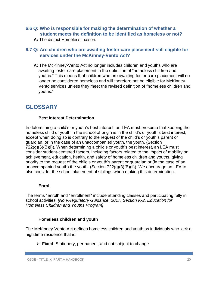#### **6.6 Q: Who is responsible for making the determination of whether a student meets the definition to be identified as homeless or not?**

**A:** The district Homeless Liaison.

#### **6.7 Q: Are children who are awaiting foster care placement still eligible for services under the McKinney-Vento Act?**

**A:** The McKinney-Vento Act no longer includes children and youths who are awaiting foster care placement in the definition of "homeless children and youths." This means that children who are awaiting foster care placement will no longer be considered homeless and will therefore not be eligible for McKinney-Vento services unless they meet the revised definition of "homeless children and youths."

# **GLOSSARY**

#### **Best Interest Determination**

In determining a child's or youth's best interest, an LEA must presume that keeping the homeless child or youth in the school of origin is in the child's or youth's best interest, except when doing so is contrary to the request of the child's or youth's parent or guardian, or in the case of an unaccompanied youth, the youth. (Section  $722(g)(3)(B)(i)$ . When determining a child's or youth's best interest, an LEA must consider student-centered factors, including factors related to the impact of mobility on achievement, education, health, and safety of homeless children and youths, giving priority to the request of the child's or youth's parent or guardian or (in the case of an unaccompanied youth) the youth. (Section 722(g)(3)(B)(ii)). We encourage an LEA to also consider the school placement of siblings when making this determination.

#### **Enroll**

The terms "enroll" and "enrollment" include attending classes and participating fully in school activities. *[Non-Regulatory Guidance, 2017, Section K-2, Education for Homeless Children and Youths Program]*

#### **Homeless children and youth**

The McKinney-Vento Act defines homeless children and youth as individuals who lack a nighttime residence that is:

**Fixed**: Stationery, permanent, and not subject to change